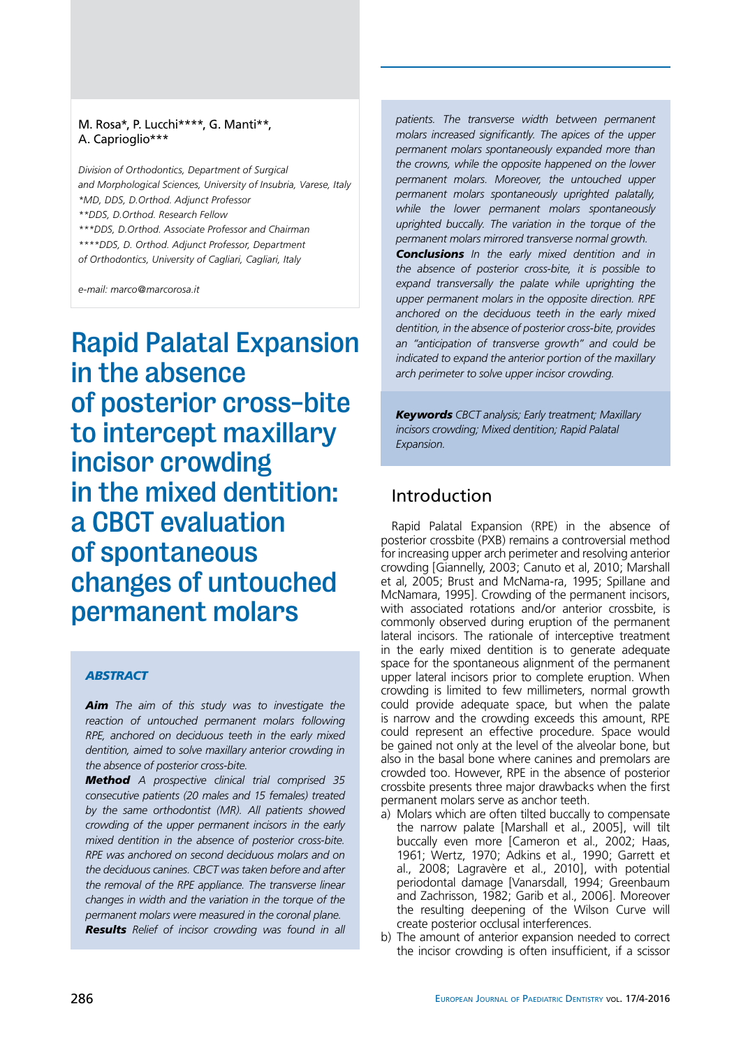## M. Rosa\*, P. Lucchi\*\*\*\*, G. Manti\*\*, A. Caprioglio\*\*\*

*Division of Orthodontics, Department of Surgical and Morphological Sciences, University of Insubria, Varese, Italy \*MD, DDS, D.Orthod. Adjunct Professor \*\*DDS, D.Orthod. Research Fellow \*\*\*DDS, D.Orthod. Associate Professor and Chairman \*\*\*\*DDS, D. Orthod. Adjunct Professor, Department* 

*of Orthodontics, University of Cagliari, Cagliari, Italy*

*e-mail: marco@marcorosa.it*

Rapid Palatal Expansion in the absence of posterior cross-bite to intercept maxillary incisor crowding in the mixed dentition: a CBCT evaluation of spontaneous changes of untouched permanent molars

### *abstract*

*Aim The aim of this study was to investigate the reaction of untouched permanent molars following RPE, anchored on deciduous teeth in the early mixed dentition, aimed to solve maxillary anterior crowding in the absence of posterior cross-bite.*

*Method A prospective clinical trial comprised 35 consecutive patients (20 males and 15 females) treated by the same orthodontist (MR). All patients showed crowding of the upper permanent incisors in the early mixed dentition in the absence of posterior cross-bite. RPE was anchored on second deciduous molars and on the deciduous canines. CBCT was taken before and after the removal of the RPE appliance. The transverse linear changes in width and the variation in the torque of the permanent molars were measured in the coronal plane. Results Relief of incisor crowding was found in all* 

*patients. The transverse width between permanent molars increased significantly. The apices of the upper permanent molars spontaneously expanded more than the crowns, while the opposite happened on the lower permanent molars. Moreover, the untouched upper permanent molars spontaneously uprighted palatally, while the lower permanent molars spontaneously uprighted buccally. The variation in the torque of the permanent molars mirrored transverse normal growth.* 

*Conclusions In the early mixed dentition and in the absence of posterior cross-bite, it is possible to expand transversally the palate while uprighting the upper permanent molars in the opposite direction. RPE anchored on the deciduous teeth in the early mixed dentition, in the absence of posterior cross-bite, provides an "anticipation of transverse growth" and could be indicated to expand the anterior portion of the maxillary arch perimeter to solve upper incisor crowding.*

*Keywords CBCT analysis; Early treatment; Maxillary incisors crowding; Mixed dentition; Rapid Palatal Expansion.*

## Introduction

Rapid Palatal Expansion (RPE) in the absence of posterior crossbite (PXB) remains a controversial method for increasing upper arch perimeter and resolving anterior crowding [Giannelly, 2003; Canuto et al, 2010; Marshall et al, 2005; Brust and McNama-ra, 1995; Spillane and McNamara, 1995]. Crowding of the permanent incisors, with associated rotations and/or anterior crossbite, is commonly observed during eruption of the permanent lateral incisors. The rationale of interceptive treatment in the early mixed dentition is to generate adequate space for the spontaneous alignment of the permanent upper lateral incisors prior to complete eruption. When crowding is limited to few millimeters, normal growth could provide adequate space, but when the palate is narrow and the crowding exceeds this amount, RPE could represent an effective procedure. Space would be gained not only at the level of the alveolar bone, but also in the basal bone where canines and premolars are crowded too. However, RPE in the absence of posterior crossbite presents three major drawbacks when the first permanent molars serve as anchor teeth.

- a) Molars which are often tilted buccally to compensate the narrow palate [Marshall et al., 2005], will tilt buccally even more [Cameron et al., 2002; Haas, 1961; Wertz, 1970; Adkins et al., 1990; Garrett et al., 2008; Lagravère et al., 2010], with potential periodontal damage [Vanarsdall, 1994; Greenbaum and Zachrisson, 1982; Garib et al., 2006]. Moreover the resulting deepening of the Wilson Curve will create posterior occlusal interferences.
- b) The amount of anterior expansion needed to correct the incisor crowding is often insufficient, if a scissor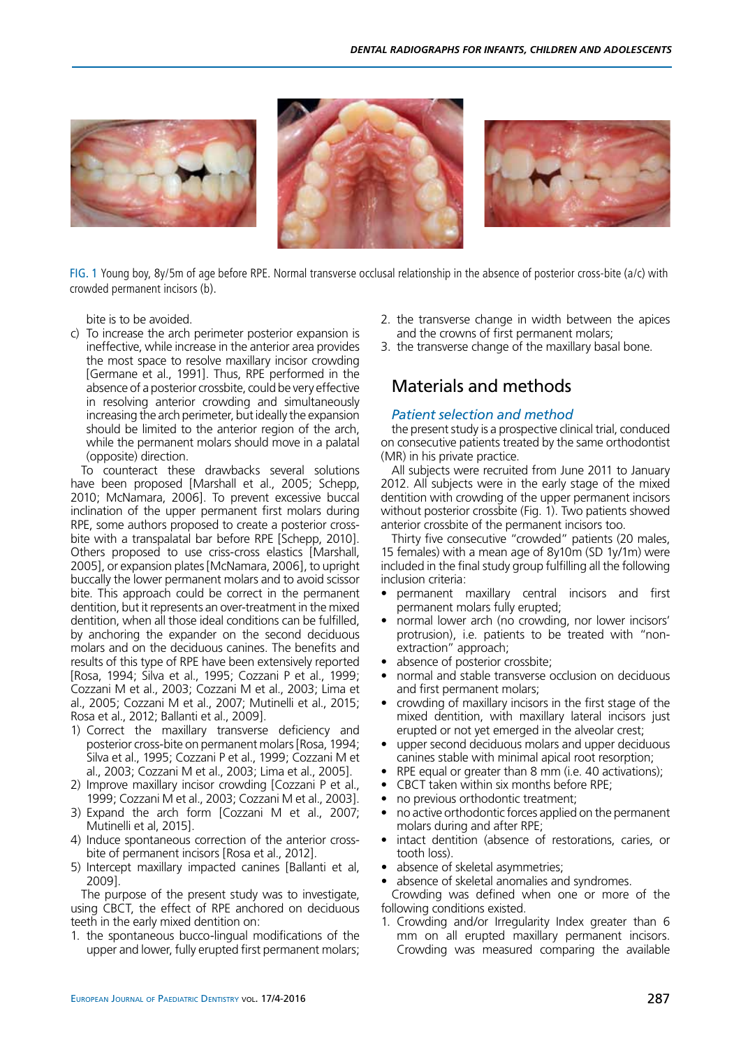

fig. 1 Young boy, 8y/5m of age before RPE. Normal transverse occlusal relationship in the absence of posterior cross-bite (a/c) with crowded permanent incisors (b).

bite is to be avoided.

c) To increase the arch perimeter posterior expansion is ineffective, while increase in the anterior area provides the most space to resolve maxillary incisor crowding [Germane et al., 1991]. Thus, RPE performed in the absence of a posterior crossbite, could be very effective in resolving anterior crowding and simultaneously increasing the arch perimeter, but ideally the expansion should be limited to the anterior region of the arch, while the permanent molars should move in a palatal (opposite) direction.

To counteract these drawbacks several solutions have been proposed [Marshall et al., 2005; Schepp, 2010; McNamara, 2006]. To prevent excessive buccal inclination of the upper permanent first molars during RPE, some authors proposed to create a posterior crossbite with a transpalatal bar before RPE [Schepp, 2010]. Others proposed to use criss-cross elastics [Marshall, 2005], or expansion plates [McNamara, 2006], to upright buccally the lower permanent molars and to avoid scissor bite. This approach could be correct in the permanent dentition, but it represents an over-treatment in the mixed dentition, when all those ideal conditions can be fulfilled, by anchoring the expander on the second deciduous molars and on the deciduous canines. The benefits and results of this type of RPE have been extensively reported [Rosa, 1994; Silva et al., 1995; Cozzani P et al., 1999; Cozzani M et al., 2003; Cozzani M et al., 2003; Lima et al., 2005; Cozzani M et al., 2007; Mutinelli et al., 2015; Rosa et al., 2012; Ballanti et al., 2009].

- 1) Correct the maxillary transverse deficiency and posterior cross-bite on permanent molars [Rosa, 1994; Silva et al., 1995; Cozzani P et al., 1999; Cozzani M et al., 2003; Cozzani M et al., 2003; Lima et al., 2005].
- 2) Improve maxillary incisor crowding [Cozzani P et al., 1999; Cozzani M et al., 2003; Cozzani M et al., 2003].
- 3) Expand the arch form [Cozzani M et al., 2007; Mutinelli et al, 2015].
- 4) Induce spontaneous correction of the anterior crossbite of permanent incisors [Rosa et al., 2012].
- 5) Intercept maxillary impacted canines [Ballanti et al, 2009].

The purpose of the present study was to investigate, using CBCT, the effect of RPE anchored on deciduous teeth in the early mixed dentition on:

1. the spontaneous bucco-lingual modifications of the upper and lower, fully erupted first permanent molars;

- 2. the transverse change in width between the apices and the crowns of first permanent molars;
- 3. the transverse change of the maxillary basal bone.

# Materials and methods

### *Patient selection and method*

the present study is a prospective clinical trial, conduced on consecutive patients treated by the same orthodontist (MR) in his private practice.

All subjects were recruited from June 2011 to January 2012. All subjects were in the early stage of the mixed dentition with crowding of the upper permanent incisors without posterior crossbite (Fig. 1). Two patients showed anterior crossbite of the permanent incisors too.

Thirty five consecutive "crowded" patients (20 males, 15 females) with a mean age of 8y10m (SD 1y/1m) were included in the final study group fulfilling all the following inclusion criteria:

- permanent maxillary central incisors and first permanent molars fully erupted;
- normal lower arch (no crowding, nor lower incisors' protrusion), i.e. patients to be treated with "nonextraction" approach;
- absence of posterior crossbite;
- normal and stable transverse occlusion on deciduous and first permanent molars;
- crowding of maxillary incisors in the first stage of the mixed dentition, with maxillary lateral incisors just erupted or not yet emerged in the alveolar crest;
- upper second deciduous molars and upper deciduous canines stable with minimal apical root resorption;
- RPE equal or greater than 8 mm (i.e. 40 activations);
- CBCT taken within six months before RPE;
- no previous orthodontic treatment:
- no active orthodontic forces applied on the permanent molars during and after RPE;
- intact dentition (absence of restorations, caries, or tooth loss).
- absence of skeletal asymmetries;
- absence of skeletal anomalies and syndromes.

Crowding was defined when one or more of the following conditions existed.

1. Crowding and/or Irregularity Index greater than 6 mm on all erupted maxillary permanent incisors. Crowding was measured comparing the available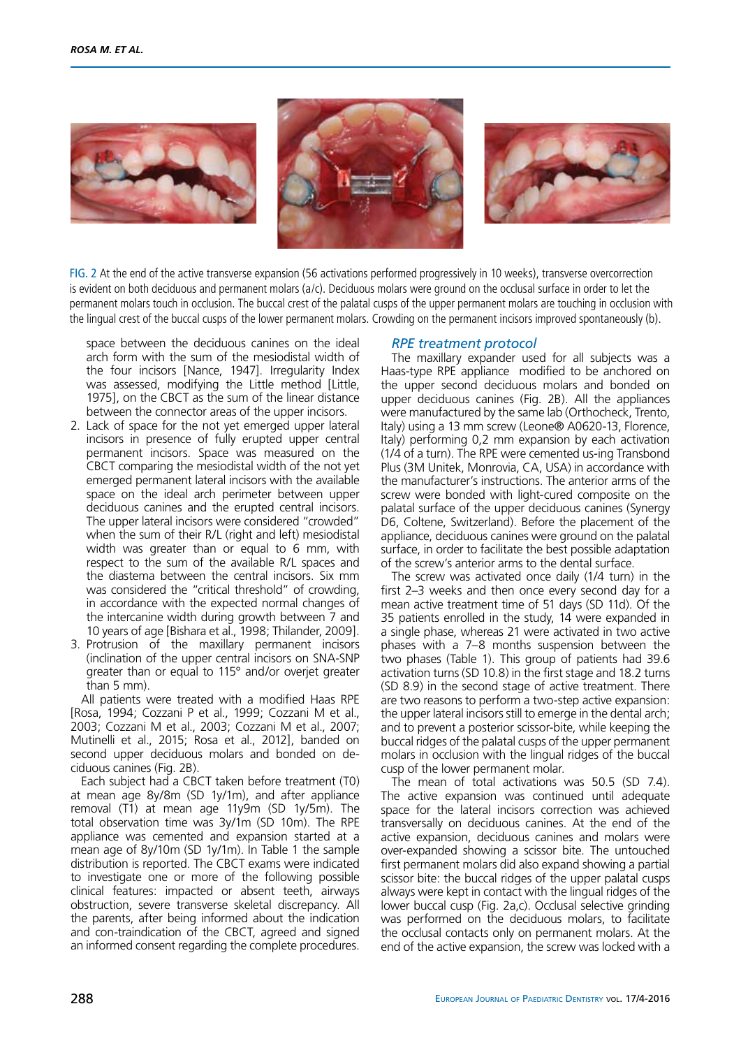





fig. 2 At the end of the active transverse expansion (56 activations performed progressively in 10 weeks), transverse overcorrection is evident on both deciduous and permanent molars (a/c). Deciduous molars were ground on the occlusal surface in order to let the permanent molars touch in occlusion. The buccal crest of the palatal cusps of the upper permanent molars are touching in occlusion with the lingual crest of the buccal cusps of the lower permanent molars. Crowding on the permanent incisors improved spontaneously (b).

space between the deciduous canines on the ideal arch form with the sum of the mesiodistal width of the four incisors [Nance, 1947]. Irregularity Index was assessed, modifying the Little method [Little, 1975], on the CBCT as the sum of the linear distance between the connector areas of the upper incisors.

- 2. Lack of space for the not yet emerged upper lateral incisors in presence of fully erupted upper central permanent incisors. Space was measured on the CBCT comparing the mesiodistal width of the not yet emerged permanent lateral incisors with the available space on the ideal arch perimeter between upper deciduous canines and the erupted central incisors. The upper lateral incisors were considered "crowded" when the sum of their R/L (right and left) mesiodistal width was greater than or equal to 6 mm, with respect to the sum of the available R/L spaces and the diastema between the central incisors. Six mm was considered the "critical threshold" of crowding, in accordance with the expected normal changes of the intercanine width during growth between 7 and 10 years of age [Bishara et al., 1998; Thilander, 2009].
- 3. Protrusion of the maxillary permanent incisors (inclination of the upper central incisors on SNA-SNP greater than or equal to 115° and/or overjet greater than 5 mm).

All patients were treated with a modified Haas RPE [Rosa, 1994; Cozzani P et al., 1999; Cozzani M et al., 2003; Cozzani M et al., 2003; Cozzani M et al., 2007; Mutinelli et al., 2015; Rosa et al., 2012], banded on second upper deciduous molars and bonded on deciduous canines (Fig. 2B).

Each subject had a CBCT taken before treatment (T0) at mean age 8y/8m (SD 1y/1m), and after appliance removal (T1) at mean age 11y9m (SD 1y/5m). The total observation time was 3y/1m (SD 10m). The RPE appliance was cemented and expansion started at a mean age of 8y/10m (SD 1y/1m). In Table 1 the sample distribution is reported. The CBCT exams were indicated to investigate one or more of the following possible clinical features: impacted or absent teeth, airways obstruction, severe transverse skeletal discrepancy. All the parents, after being informed about the indication and con-traindication of the CBCT, agreed and signed an informed consent regarding the complete procedures.

### *RPE treatment protocol*

The maxillary expander used for all subjects was a Haas-type RPE appliance modified to be anchored on the upper second deciduous molars and bonded on upper deciduous canines (Fig. 2B). All the appliances were manufactured by the same lab (Orthocheck, Trento, Italy) using a 13 mm screw (Leone® A0620-13, Florence, Italy) performing 0,2 mm expansion by each activation (1/4 of a turn). The RPE were cemented us-ing Transbond Plus (3M Unitek, Monrovia, CA, USA) in accordance with the manufacturer's instructions. The anterior arms of the screw were bonded with light-cured composite on the palatal surface of the upper deciduous canines (Synergy D6, Coltene, Switzerland). Before the placement of the appliance, deciduous canines were ground on the palatal surface, in order to facilitate the best possible adaptation of the screw's anterior arms to the dental surface.

The screw was activated once daily (1/4 turn) in the first 2–3 weeks and then once every second day for a mean active treatment time of 51 days (SD 11d). Of the 35 patients enrolled in the study, 14 were expanded in a single phase, whereas 21 were activated in two active phases with a 7–8 months suspension between the two phases (Table 1). This group of patients had 39.6 activation turns (SD 10.8) in the first stage and 18.2 turns (SD 8.9) in the second stage of active treatment. There are two reasons to perform a two-step active expansion: the upper lateral incisors still to emerge in the dental arch; and to prevent a posterior scissor-bite, while keeping the buccal ridges of the palatal cusps of the upper permanent molars in occlusion with the lingual ridges of the buccal cusp of the lower permanent molar.

The mean of total activations was 50.5 (SD 7.4). The active expansion was continued until adequate space for the lateral incisors correction was achieved transversally on deciduous canines. At the end of the active expansion, deciduous canines and molars were over-expanded showing a scissor bite. The untouched first permanent molars did also expand showing a partial scissor bite: the buccal ridges of the upper palatal cusps always were kept in contact with the lingual ridges of the lower buccal cusp (Fig. 2a,c). Occlusal selective grinding was performed on the deciduous molars, to facilitate the occlusal contacts only on permanent molars. At the end of the active expansion, the screw was locked with a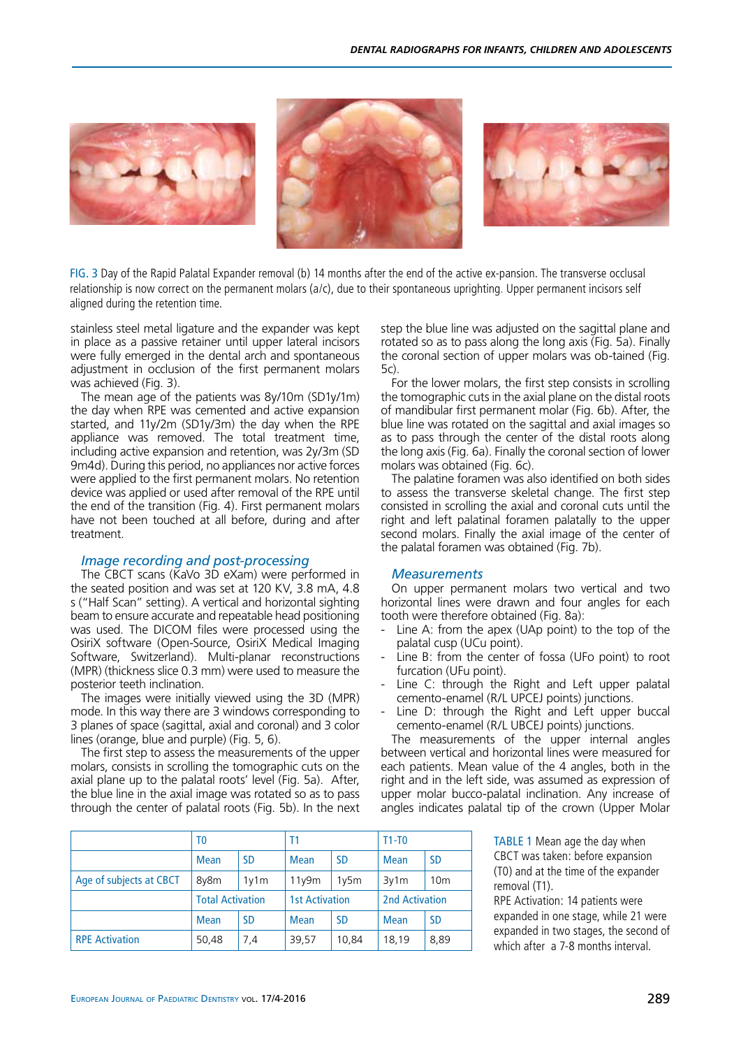

fig. 3 Day of the Rapid Palatal Expander removal (b) 14 months after the end of the active ex-pansion. The transverse occlusal relationship is now correct on the permanent molars ( $a/c$ ), due to their spontaneous uprighting. Upper permanent incisors self aligned during the retention time.

stainless steel metal ligature and the expander was kept in place as a passive retainer until upper lateral incisors were fully emerged in the dental arch and spontaneous adjustment in occlusion of the first permanent molars was achieved (Fig. 3).

The mean age of the patients was 8y/10m (SD1y/1m) the day when RPE was cemented and active expansion started, and 11y/2m (SD1y/3m) the day when the RPE appliance was removed. The total treatment time, including active expansion and retention, was 2y/3m (SD 9m4d). During this period, no appliances nor active forces were applied to the first permanent molars. No retention device was applied or used after removal of the RPE until the end of the transition (Fig. 4). First permanent molars have not been touched at all before, during and after treatment.

### *Image recording and post-processing*

The CBCT scans (KaVo 3D eXam) were performed in the seated position and was set at 120 KV, 3.8 mA, 4.8 s ("Half Scan" setting). A vertical and horizontal sighting beam to ensure accurate and repeatable head positioning was used. The DICOM files were processed using the OsiriX software (Open-Source, OsiriX Medical Imaging Software, Switzerland). Multi-planar reconstructions (MPR) (thickness slice 0.3 mm) were used to measure the posterior teeth inclination.

The images were initially viewed using the 3D (MPR) mode. In this way there are 3 windows corresponding to 3 planes of space (sagittal, axial and coronal) and 3 color lines (orange, blue and purple) (Fig. 5, 6).

The first step to assess the measurements of the upper molars, consists in scrolling the tomographic cuts on the axial plane up to the palatal roots' level (Fig. 5a). After, the blue line in the axial image was rotated so as to pass through the center of palatal roots (Fig. 5b). In the next step the blue line was adjusted on the sagittal plane and rotated so as to pass along the long axis (Fig. 5a). Finally the coronal section of upper molars was ob-tained (Fig. 5c).

For the lower molars, the first step consists in scrolling the tomographic cuts in the axial plane on the distal roots of mandibular first permanent molar (Fig. 6b). After, the blue line was rotated on the sagittal and axial images so as to pass through the center of the distal roots along the long axis (Fig. 6a). Finally the coronal section of lower molars was obtained (Fig. 6c).

The palatine foramen was also identified on both sides to assess the transverse skeletal change. The first step consisted in scrolling the axial and coronal cuts until the right and left palatinal foramen palatally to the upper second molars. Finally the axial image of the center of the palatal foramen was obtained (Fig. 7b).

#### *Measurements*

On upper permanent molars two vertical and two horizontal lines were drawn and four angles for each tooth were therefore obtained (Fig. 8a):

- Line A: from the apex (UAp point) to the top of the palatal cusp (UCu point).
- Line B: from the center of fossa (UFo point) to root furcation (UFu point).
- Line C: through the Right and Left upper palatal cemento-enamel (R/L UPCEJ points) junctions.
- Line D: through the Right and Left upper buccal cemento-enamel (R/L UBCEJ points) junctions.

The measurements of the upper internal angles between vertical and horizontal lines were measured for each patients. Mean value of the 4 angles, both in the right and in the left side, was assumed as expression of upper molar bucco-palatal inclination. Any increase of angles indicates palatal tip of the crown (Upper Molar

| <b>TABLE 1</b> Mean age the day when |  |  |  |  |  |
|--------------------------------------|--|--|--|--|--|
| CBCT was taken: before expansion     |  |  |  |  |  |
| (T0) and at the time of the expander |  |  |  |  |  |
| removal (T1).                        |  |  |  |  |  |

RPE Activation: 14 patients were expanded in one stage, while 21 were expanded in two stages, the second of which after a 7-8 months interval.

|                         | T <sub>0</sub>          |           | T1                    |           | $T1-T0$        |                 |
|-------------------------|-------------------------|-----------|-----------------------|-----------|----------------|-----------------|
|                         | <b>Mean</b>             | <b>SD</b> | <b>Mean</b>           | <b>SD</b> | <b>Mean</b>    | <b>SD</b>       |
| Age of subjects at CBCT | 8y8m                    | 1v1m      | 11v9m                 | 1v5m      | 3v1m           | 10 <sub>m</sub> |
|                         | <b>Total Activation</b> |           | <b>1st Activation</b> |           | 2nd Activation |                 |
|                         | <b>Mean</b>             | <b>SD</b> | <b>Mean</b>           | <b>SD</b> | <b>Mean</b>    | <b>SD</b>       |
| <b>RPE Activation</b>   | 50,48                   | 7,4       | 39,57                 | 10,84     | 18,19          | 8,89            |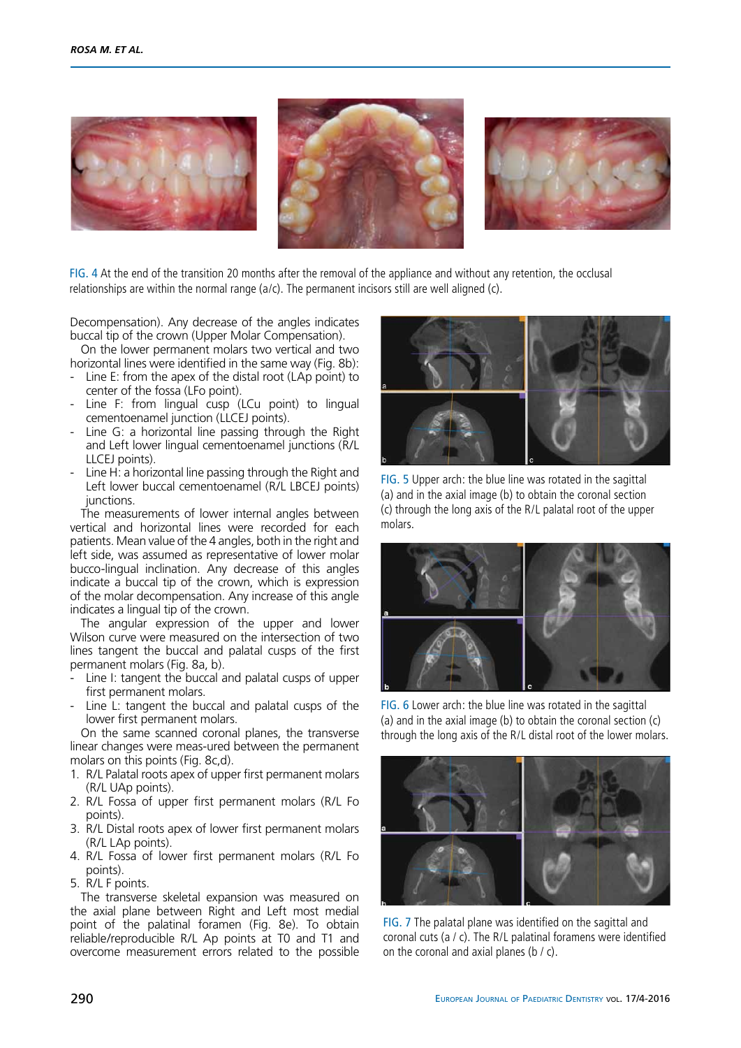

fig. 4 At the end of the transition 20 months after the removal of the appliance and without any retention, the occlusal relationships are within the normal range (a/c). The permanent incisors still are well aligned (c).

Decompensation). Any decrease of the angles indicates buccal tip of the crown (Upper Molar Compensation).

On the lower permanent molars two vertical and two horizontal lines were identified in the same way (Fig. 8b):

- Line E: from the apex of the distal root (LAp point) to center of the fossa (LFo point).
- Line F: from lingual cusp (LCu point) to lingual cementoenamel junction (LLCEJ points).
- Line G: a horizontal line passing through the Right and Left lower lingual cementoenamel junctions (R/L LLCEJ points).
- Line H: a horizontal line passing through the Right and Left lower buccal cementoenamel (R/L LBCEJ points) junctions.

The measurements of lower internal angles between vertical and horizontal lines were recorded for each patients. Mean value of the 4 angles, both in the right and left side, was assumed as representative of lower molar bucco-lingual inclination. Any decrease of this angles indicate a buccal tip of the crown, which is expression of the molar decompensation. Any increase of this angle indicates a lingual tip of the crown.

The angular expression of the upper and lower Wilson curve were measured on the intersection of two lines tangent the buccal and palatal cusps of the first permanent molars (Fig. 8a, b).

- Line I: tangent the buccal and palatal cusps of upper first permanent molars.
- Line L: tangent the buccal and palatal cusps of the lower first permanent molars.

On the same scanned coronal planes, the transverse linear changes were meas-ured between the permanent molars on this points (Fig. 8c,d).

- 1. R/L Palatal roots apex of upper first permanent molars (R/L UAp points).
- 2. R/L Fossa of upper first permanent molars (R/L Fo points).
- 3. R/L Distal roots apex of lower first permanent molars (R/L LAp points).
- 4. R/L Fossa of lower first permanent molars (R/L Fo points).
- 5. R/L F points.

The transverse skeletal expansion was measured on the axial plane between Right and Left most medial point of the palatinal foramen (Fig. 8e). To obtain reliable/reproducible R/L Ap points at T0 and T1 and overcome measurement errors related to the possible



fig. 5 Upper arch: the blue line was rotated in the sagittal (a) and in the axial image (b) to obtain the coronal section (c) through the long axis of the R/L palatal root of the upper molars.



fig. 6 Lower arch: the blue line was rotated in the sagittal (a) and in the axial image (b) to obtain the coronal section (c) through the long axis of the R/L distal root of the lower molars.



fig. 7 The palatal plane was identified on the sagittal and coronal cuts (a / c). The R/L palatinal foramens were identified on the coronal and axial planes ( $\frac{b}{c}$ ).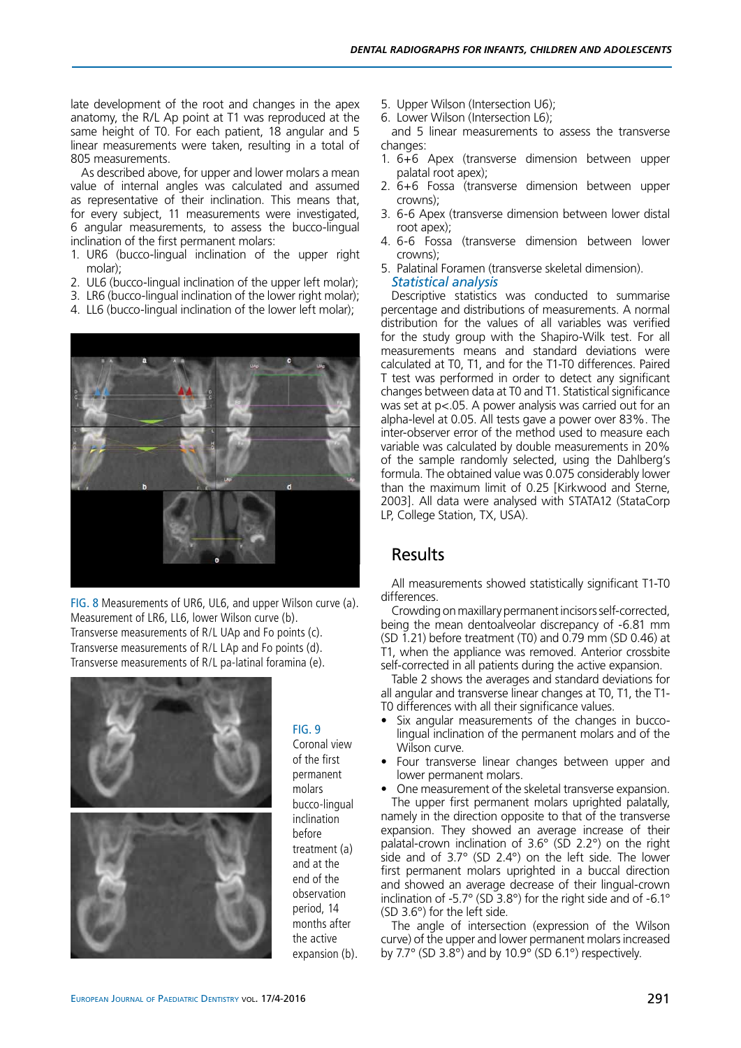late development of the root and changes in the apex anatomy, the R/L Ap point at T1 was reproduced at the same height of T0. For each patient, 18 angular and 5 linear measurements were taken, resulting in a total of 805 measurements.

As described above, for upper and lower molars a mean value of internal angles was calculated and assumed as representative of their inclination. This means that, for every subject, 11 measurements were investigated, 6 angular measurements, to assess the bucco-lingual inclination of the first permanent molars:

- 1. UR6 (bucco-lingual inclination of the upper right molar);
- 2. UL6 (bucco-lingual inclination of the upper left molar);
- 3. LR6 (bucco-lingual inclination of the lower right molar);
- 4. LL6 (bucco-lingual inclination of the lower left molar);



fig. 8 Measurements of UR6, UL6, and upper Wilson curve (a). Measurement of LR6, LL6, lower Wilson curve (b). Transverse measurements of R/L UAp and Fo points (c). Transverse measurements of R/L LAp and Fo points (d). Transverse measurements of R/L pa-latinal foramina (e).



### $FIG. 9$

Coronal view of the first permanent molars bucco-lingual inclination before treatment (a) and at the end of the observation period, 14 months after the active expansion (b).

- 5. Upper Wilson (Intersection U6);
- 6. Lower Wilson (Intersection L6);

and 5 linear measurements to assess the transverse changes:

- 1. 6+6 Apex (transverse dimension between upper palatal root apex);
- 2. 6+6 Fossa (transverse dimension between upper crowns);
- 3. 6-6 Apex (transverse dimension between lower distal root apex);
- 4. 6-6 Fossa (transverse dimension between lower crowns);
- 5. Palatinal Foramen (transverse skeletal dimension). *Statistical analysis*

Descriptive statistics was conducted to summarise percentage and distributions of measurements. A normal distribution for the values of all variables was verified for the study group with the Shapiro-Wilk test. For all measurements means and standard deviations were calculated at T0, T1, and for the T1-T0 differences. Paired T test was performed in order to detect any significant changes between data at T0 and T1. Statistical significance was set at p<.05. A power analysis was carried out for an alpha-level at 0.05. All tests gave a power over 83%. The inter-observer error of the method used to measure each variable was calculated by double measurements in 20% of the sample randomly selected, using the Dahlberg's formula. The obtained value was 0.075 considerably lower than the maximum limit of 0.25 [Kirkwood and Sterne, 2003]. All data were analysed with STATA12 (StataCorp LP, College Station, TX, USA).

## Results

All measurements showed statistically significant T1-T0 differences.

Crowding on maxillary permanent incisors self-corrected, being the mean dentoalveolar discrepancy of -6.81 mm (SD 1.21) before treatment (T0) and 0.79 mm (SD 0.46) at T1, when the appliance was removed. Anterior crossbite self-corrected in all patients during the active expansion.

Table 2 shows the averages and standard deviations for all angular and transverse linear changes at T0, T1, the T1- T0 differences with all their significance values.

- Six angular measurements of the changes in buccolingual inclination of the permanent molars and of the Wilson curve.
- Four transverse linear changes between upper and lower permanent molars.

One measurement of the skeletal transverse expansion. The upper first permanent molars uprighted palatally, namely in the direction opposite to that of the transverse expansion. They showed an average increase of their palatal-crown inclination of 3.6° (SD 2.2°) on the right side and of 3.7° (SD 2.4°) on the left side. The lower first permanent molars uprighted in a buccal direction and showed an average decrease of their lingual-crown inclination of -5.7° (SD 3.8°) for the right side and of -6.1° (SD 3.6°) for the left side.

The angle of intersection (expression of the Wilson curve) of the upper and lower permanent molars increased by 7.7° (SD 3.8°) and by 10.9° (SD 6.1°) respectively.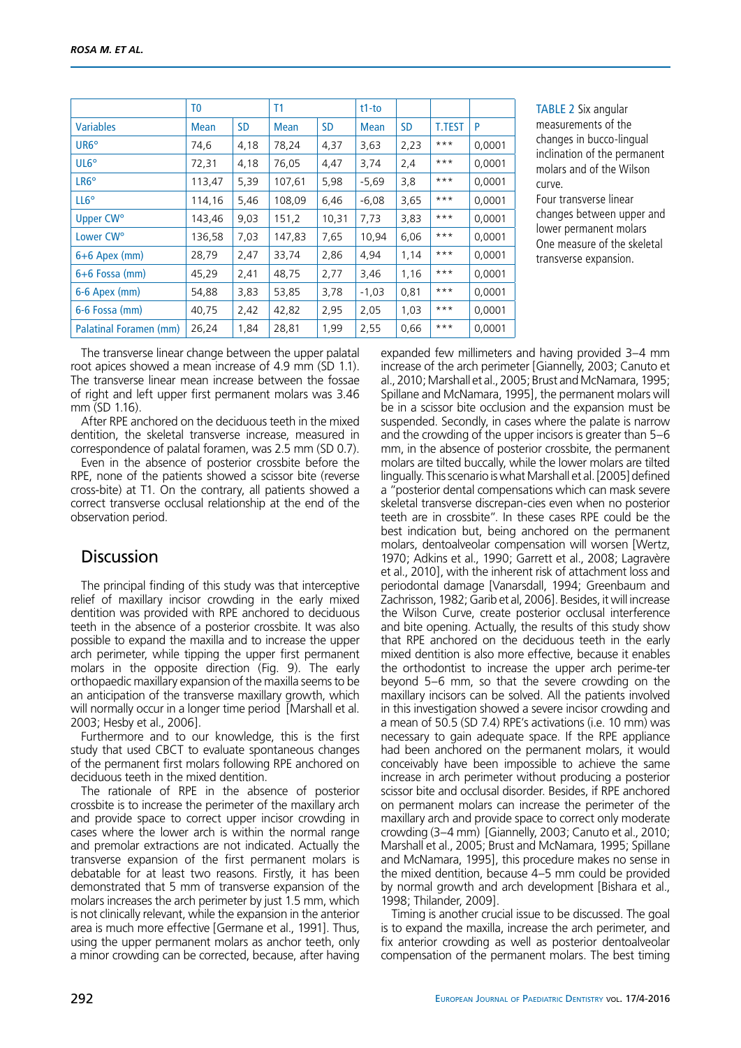|                        | T <sub>0</sub> | T1        |        |           |             |           |               |        |
|------------------------|----------------|-----------|--------|-----------|-------------|-----------|---------------|--------|
| <b>Variables</b>       | Mean           | <b>SD</b> | Mean   | <b>SD</b> | <b>Mean</b> | <b>SD</b> | <b>T.TEST</b> | P      |
| UR6°                   | 74,6           | 4,18      | 78,24  | 4,37      | 3,63        | 2,23      | $***$         | 0,0001 |
| UL6 <sup>°</sup>       | 72,31          | 4,18      | 76,05  | 4,47      | 3,74        | 2,4       | $***$         | 0,0001 |
| LR <sub>6</sub> °      | 113,47         | 5,39      | 107,61 | 5,98      | $-5,69$     | 3,8       | $***$         | 0,0001 |
| $LL6^{\circ}$          | 114,16         | 5,46      | 108,09 | 6,46      | $-6,08$     | 3,65      | $***$         | 0,0001 |
| Upper CW <sup>o</sup>  | 143,46         | 9,03      | 151,2  | 10,31     | 7,73        | 3,83      | $***$         | 0.0001 |
| Lower CW <sup>o</sup>  | 136,58         | 7,03      | 147,83 | 7,65      | 10,94       | 6,06      | $***$         | 0,0001 |
| $6+6$ Apex (mm)        | 28,79          | 2,47      | 33,74  | 2,86      | 4,94        | 1,14      | $***$         | 0,0001 |
| $6+6$ Fossa (mm)       | 45,29          | 2,41      | 48,75  | 2,77      | 3,46        | 1,16      | $***$         | 0,0001 |
| 6-6 Apex (mm)          | 54,88          | 3,83      | 53,85  | 3,78      | $-1,03$     | 0,81      | $***$         | 0,0001 |
| 6-6 Fossa (mm)         | 40,75          | 2,42      | 42,82  | 2,95      | 2,05        | 1.03      | $***$         | 0.0001 |
| Palatinal Foramen (mm) | 26,24          | 1,84      | 28,81  | 1,99      | 2,55        | 0,66      | $***$         | 0,0001 |

**TABLE 2 Six angular** measurements of the changes in bucco-lingual inclination of the permanent molars and of the Wilson curve.

Four transverse linear changes between upper and lower permanent molars One measure of the skeletal transverse expansion.

The transverse linear change between the upper palatal root apices showed a mean increase of 4.9 mm (SD 1.1). The transverse linear mean increase between the fossae of right and left upper first permanent molars was 3.46 mm (SD 1.16).

After RPE anchored on the deciduous teeth in the mixed dentition, the skeletal transverse increase, measured in correspondence of palatal foramen, was 2.5 mm (SD 0.7).

Even in the absence of posterior crossbite before the RPE, none of the patients showed a scissor bite (reverse cross-bite) at T1. On the contrary, all patients showed a correct transverse occlusal relationship at the end of the observation period.

# **Discussion**

The principal finding of this study was that interceptive relief of maxillary incisor crowding in the early mixed dentition was provided with RPE anchored to deciduous teeth in the absence of a posterior crossbite. It was also possible to expand the maxilla and to increase the upper arch perimeter, while tipping the upper first permanent molars in the opposite direction (Fig. 9). The early orthopaedic maxillary expansion of the maxilla seems to be an anticipation of the transverse maxillary growth, which will normally occur in a longer time period [Marshall et al. 2003; Hesby et al., 2006].

Furthermore and to our knowledge, this is the first study that used CBCT to evaluate spontaneous changes of the permanent first molars following RPE anchored on deciduous teeth in the mixed dentition.

The rationale of RPE in the absence of posterior crossbite is to increase the perimeter of the maxillary arch and provide space to correct upper incisor crowding in cases where the lower arch is within the normal range and premolar extractions are not indicated. Actually the transverse expansion of the first permanent molars is debatable for at least two reasons. Firstly, it has been demonstrated that 5 mm of transverse expansion of the molars increases the arch perimeter by just 1.5 mm, which is not clinically relevant, while the expansion in the anterior area is much more effective [Germane et al., 1991]. Thus, using the upper permanent molars as anchor teeth, only a minor crowding can be corrected, because, after having expanded few millimeters and having provided 3–4 mm increase of the arch perimeter [Giannelly, 2003; Canuto et al., 2010; Marshall et al., 2005; Brust and McNamara, 1995; Spillane and McNamara, 1995], the permanent molars will be in a scissor bite occlusion and the expansion must be suspended. Secondly, in cases where the palate is narrow and the crowding of the upper incisors is greater than 5–6 mm, in the absence of posterior crossbite, the permanent molars are tilted buccally, while the lower molars are tilted lingually. This scenario is what Marshall et al. [2005] defined a "posterior dental compensations which can mask severe skeletal transverse discrepan-cies even when no posterior teeth are in crossbite". In these cases RPE could be the best indication but, being anchored on the permanent molars, dentoalveolar compensation will worsen [Wertz, 1970; Adkins et al., 1990; Garrett et al., 2008; Lagravère et al., 2010], with the inherent risk of attachment loss and periodontal damage [Vanarsdall, 1994; Greenbaum and Zachrisson, 1982; Garib et al, 2006]. Besides, it will increase the Wilson Curve, create posterior occlusal interference and bite opening. Actually, the results of this study show that RPE anchored on the deciduous teeth in the early mixed dentition is also more effective, because it enables the orthodontist to increase the upper arch perime-ter beyond 5–6 mm, so that the severe crowding on the maxillary incisors can be solved. All the patients involved in this investigation showed a severe incisor crowding and a mean of 50.5 (SD 7.4) RPE's activations (i.e. 10 mm) was necessary to gain adequate space. If the RPE appliance had been anchored on the permanent molars, it would conceivably have been impossible to achieve the same increase in arch perimeter without producing a posterior scissor bite and occlusal disorder. Besides, if RPE anchored on permanent molars can increase the perimeter of the maxillary arch and provide space to correct only moderate crowding (3–4 mm) [Giannelly, 2003; Canuto et al., 2010; Marshall et al., 2005; Brust and McNamara, 1995; Spillane and McNamara, 1995], this procedure makes no sense in the mixed dentition, because 4–5 mm could be provided by normal growth and arch development [Bishara et al., 1998; Thilander, 2009].

Timing is another crucial issue to be discussed. The goal is to expand the maxilla, increase the arch perimeter, and fix anterior crowding as well as posterior dentoalveolar compensation of the permanent molars. The best timing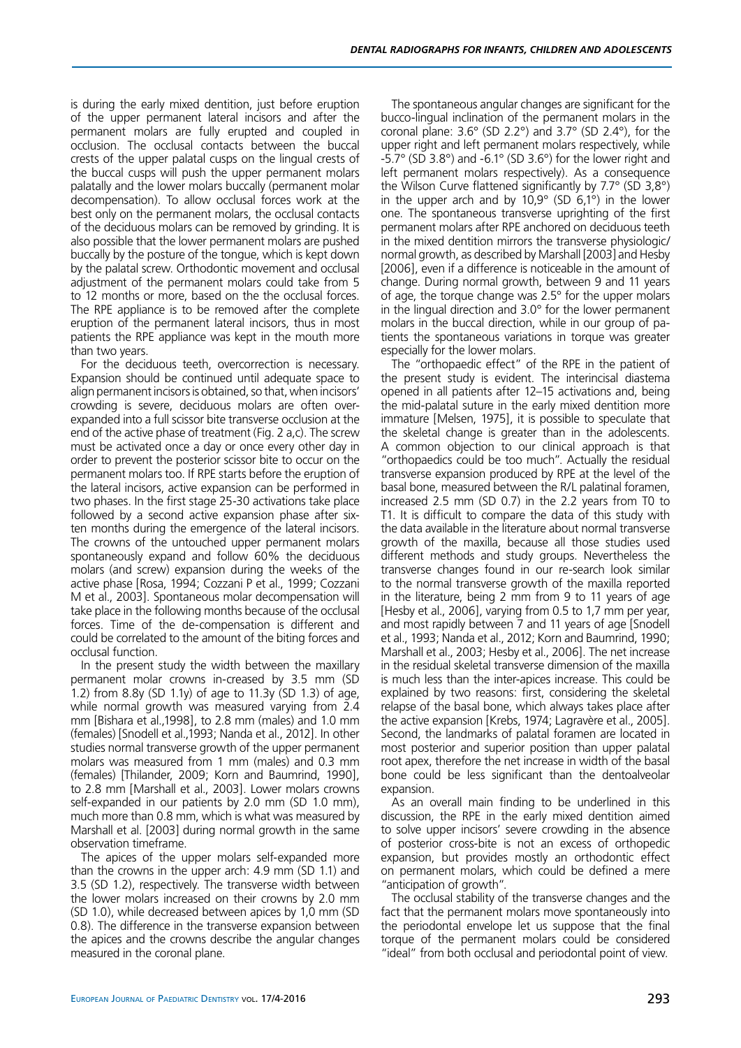is during the early mixed dentition, just before eruption of the upper permanent lateral incisors and after the permanent molars are fully erupted and coupled in occlusion. The occlusal contacts between the buccal crests of the upper palatal cusps on the lingual crests of the buccal cusps will push the upper permanent molars palatally and the lower molars buccally (permanent molar decompensation). To allow occlusal forces work at the best only on the permanent molars, the occlusal contacts of the deciduous molars can be removed by grinding. It is also possible that the lower permanent molars are pushed buccally by the posture of the tongue, which is kept down by the palatal screw. Orthodontic movement and occlusal adjustment of the permanent molars could take from 5 to 12 months or more, based on the the occlusal forces. The RPE appliance is to be removed after the complete eruption of the permanent lateral incisors, thus in most patients the RPE appliance was kept in the mouth more than two years.

For the deciduous teeth, overcorrection is necessary. Expansion should be continued until adequate space to align permanent incisors is obtained, so that, when incisors' crowding is severe, deciduous molars are often overexpanded into a full scissor bite transverse occlusion at the end of the active phase of treatment (Fig. 2 a,c). The screw must be activated once a day or once every other day in order to prevent the posterior scissor bite to occur on the permanent molars too. If RPE starts before the eruption of the lateral incisors, active expansion can be performed in two phases. In the first stage 25-30 activations take place followed by a second active expansion phase after sixten months during the emergence of the lateral incisors. The crowns of the untouched upper permanent molars spontaneously expand and follow 60% the deciduous molars (and screw) expansion during the weeks of the active phase [Rosa, 1994; Cozzani P et al., 1999; Cozzani M et al., 2003]. Spontaneous molar decompensation will take place in the following months because of the occlusal forces. Time of the de-compensation is different and could be correlated to the amount of the biting forces and occlusal function.

In the present study the width between the maxillary permanent molar crowns in-creased by 3.5 mm (SD 1.2) from 8.8y (SD 1.1y) of age to 11.3y (SD 1.3) of age, while normal growth was measured varying from 2.4 mm [Bishara et al.,1998], to 2.8 mm (males) and 1.0 mm (females) [Snodell et al.,1993; Nanda et al., 2012]. In other studies normal transverse growth of the upper permanent molars was measured from 1 mm (males) and 0.3 mm (females) [Thilander, 2009; Korn and Baumrind, 1990], to 2.8 mm [Marshall et al., 2003]. Lower molars crowns self-expanded in our patients by 2.0 mm (SD 1.0 mm), much more than 0.8 mm, which is what was measured by Marshall et al. [2003] during normal growth in the same observation timeframe.

The apices of the upper molars self-expanded more than the crowns in the upper arch: 4.9 mm (SD 1.1) and 3.5 (SD 1.2), respectively. The transverse width between the lower molars increased on their crowns by 2.0 mm (SD 1.0), while decreased between apices by 1,0 mm (SD 0.8). The difference in the transverse expansion between the apices and the crowns describe the angular changes measured in the coronal plane.

The spontaneous angular changes are significant for the bucco-lingual inclination of the permanent molars in the coronal plane: 3.6° (SD 2.2°) and 3.7° (SD 2.4°), for the upper right and left permanent molars respectively, while -5.7° (SD 3.8°) and -6.1° (SD 3.6°) for the lower right and left permanent molars respectively). As a consequence the Wilson Curve flattened significantly by 7.7° (SD 3,8°) in the upper arch and by  $10,9^{\circ}$  (SD  $6,1^{\circ}$ ) in the lower one. The spontaneous transverse uprighting of the first permanent molars after RPE anchored on deciduous teeth in the mixed dentition mirrors the transverse physiologic/ normal growth, as described by Marshall [2003] and Hesby [2006], even if a difference is noticeable in the amount of change. During normal growth, between 9 and 11 years of age, the torque change was 2.5° for the upper molars in the lingual direction and 3.0° for the lower permanent molars in the buccal direction, while in our group of patients the spontaneous variations in torque was greater especially for the lower molars.

The "orthopaedic effect" of the RPE in the patient of the present study is evident. The interincisal diastema opened in all patients after 12–15 activations and, being the mid-palatal suture in the early mixed dentition more immature [Melsen, 1975], it is possible to speculate that the skeletal change is greater than in the adolescents. A common objection to our clinical approach is that "orthopaedics could be too much". Actually the residual transverse expansion produced by RPE at the level of the basal bone, measured between the R/L palatinal foramen, increased 2.5 mm (SD 0.7) in the 2.2 years from T0 to T1. It is difficult to compare the data of this study with the data available in the literature about normal transverse growth of the maxilla, because all those studies used different methods and study groups. Nevertheless the transverse changes found in our re-search look similar to the normal transverse growth of the maxilla reported in the literature, being 2 mm from 9 to 11 years of age [Hesby et al., 2006], varying from 0.5 to 1,7 mm per year, and most rapidly between 7 and 11 years of age [Snodell et al., 1993; Nanda et al., 2012; Korn and Baumrind, 1990; Marshall et al., 2003; Hesby et al., 2006]. The net increase in the residual skeletal transverse dimension of the maxilla is much less than the inter-apices increase. This could be explained by two reasons: first, considering the skeletal relapse of the basal bone, which always takes place after the active expansion [Krebs, 1974; Lagravère et al., 2005]. Second, the landmarks of palatal foramen are located in most posterior and superior position than upper palatal root apex, therefore the net increase in width of the basal bone could be less significant than the dentoalveolar expansion.

As an overall main finding to be underlined in this discussion, the RPE in the early mixed dentition aimed to solve upper incisors' severe crowding in the absence of posterior cross-bite is not an excess of orthopedic expansion, but provides mostly an orthodontic effect on permanent molars, which could be defined a mere "anticipation of growth".

The occlusal stability of the transverse changes and the fact that the permanent molars move spontaneously into the periodontal envelope let us suppose that the final torque of the permanent molars could be considered "ideal" from both occlusal and periodontal point of view.